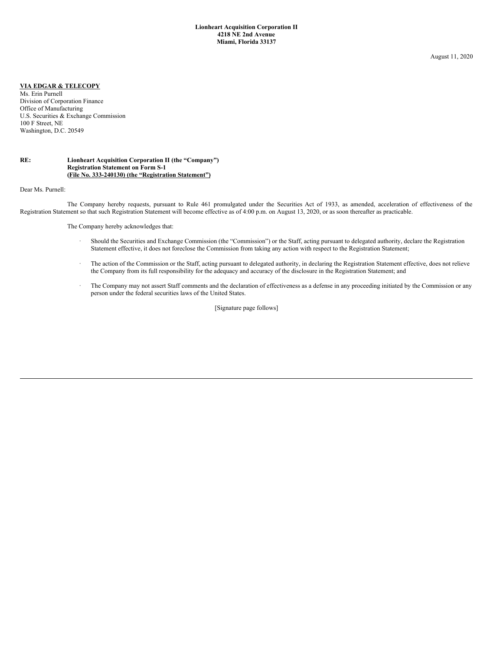August 11, 2020

## **VIA EDGAR & TELECOPY**

Ms. Erin Purnell Division of Corporation Finance Office of Manufacturing U.S. Securities & Exchange Commission 100 F Street, NE Washington, D.C. 20549

## **RE: Lionheart Acquisition Corporation II (the "Company") Registration Statement on Form S-1 (File No. 333-240130) (the "Registration Statement")**

Dear Ms. Purnell:

The Company hereby requests, pursuant to Rule 461 promulgated under the Securities Act of 1933, as amended, acceleration of effectiveness of the Registration Statement so that such Registration Statement will become effective as of 4:00 p.m. on August 13, 2020, or as soon thereafter as practicable.

The Company hereby acknowledges that:

- · Should the Securities and Exchange Commission (the "Commission") or the Staff, acting pursuant to delegated authority, declare the Registration Statement effective, it does not foreclose the Commission from taking any action with respect to the Registration Statement;
- · The action of the Commission or the Staff, acting pursuant to delegated authority, in declaring the Registration Statement effective, does not relieve the Company from its full responsibility for the adequacy and accuracy of the disclosure in the Registration Statement; and
- The Company may not assert Staff comments and the declaration of effectiveness as a defense in any proceeding initiated by the Commission or any person under the federal securities laws of the United States.

[Signature page follows]